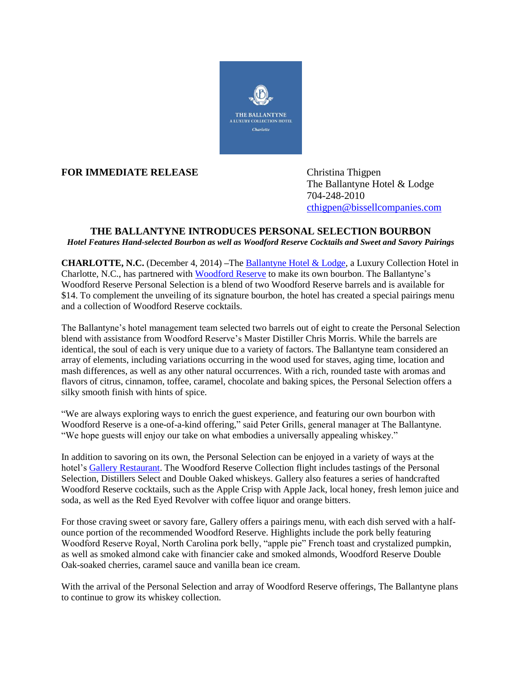

**FOR IMMEDIATE RELEASE** Christina Thigpen

The Ballantyne Hotel & Lodge 704-248-2010 [cthigpen@bissellcompanies.com](mailto:cthigpen@bissellcompanies.com)

## **THE BALLANTYNE INTRODUCES PERSONAL SELECTION BOURBON** *Hotel Features Hand-selected Bourbon as well as Woodford Reserve Cocktails and Sweet and Savory Pairings*

**CHARLOTTE, N.C.** (December 4, 2014) **–**The [Ballantyne Hotel & Lodge,](http://www.theballantynehotel.com/EO_overview.cfm) a Luxury Collection Hotel in Charlotte, N.C., has partnered wit[h Woodford Reserve](http://www.woodfordreserve.com/) to make its own bourbon. The Ballantyne's Woodford Reserve Personal Selection is a blend of two Woodford Reserve barrels and is available for \$14. To complement the unveiling of its signature bourbon, the hotel has created a special pairings menu and a collection of Woodford Reserve cocktails.

The Ballantyne's hotel management team selected two barrels out of eight to create the Personal Selection blend with assistance from Woodford Reserve's Master Distiller Chris Morris. While the barrels are identical, the soul of each is very unique due to a variety of factors. The Ballantyne team considered an array of elements, including variations occurring in the wood used for staves, aging time, location and mash differences, as well as any other natural occurrences. With a rich, rounded taste with aromas and flavors of citrus, cinnamon, toffee, caramel, chocolate and baking spices, the Personal Selection offers a silky smooth finish with hints of spice.

"We are always exploring ways to enrich the guest experience, and featuring our own bourbon with Woodford Reserve is a one-of-a-kind offering," said Peter Grills, general manager at The Ballantyne. "We hope guests will enjoy our take on what embodies a universally appealing whiskey."

In addition to savoring on its own, the Personal Selection can be enjoyed in a variety of ways at the hotel'[s Gallery Restaurant.](http://www.gallery-restaurant.com/) The Woodford Reserve Collection flight includes tastings of the Personal Selection, Distillers Select and Double Oaked whiskeys. Gallery also features a series of handcrafted Woodford Reserve cocktails, such as the Apple Crisp with Apple Jack, local honey, fresh lemon juice and soda, as well as the Red Eyed Revolver with coffee liquor and orange bitters.

For those craving sweet or savory fare, Gallery offers a pairings menu, with each dish served with a halfounce portion of the recommended Woodford Reserve. Highlights include the pork belly featuring Woodford Reserve Royal, North Carolina pork belly, "apple pie" French toast and crystalized pumpkin, as well as smoked almond cake with financier cake and smoked almonds, Woodford Reserve Double Oak-soaked cherries, caramel sauce and vanilla bean ice cream.

With the arrival of the Personal Selection and array of Woodford Reserve offerings, The Ballantyne plans to continue to grow its whiskey collection.